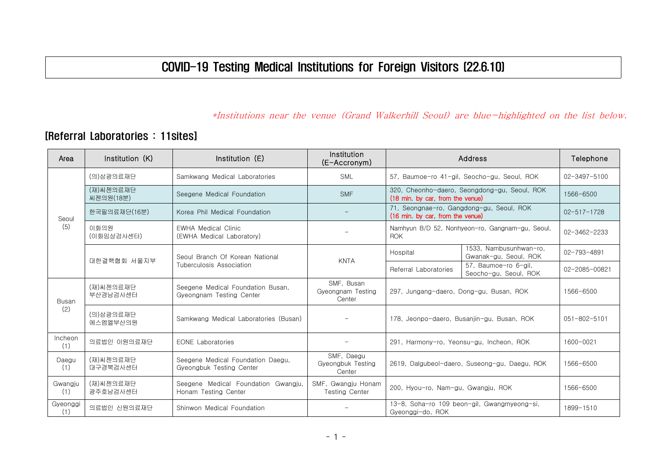## COVID-19 Testing Medical Institutions for Foreign Visitors (22.6.10)

## \*Institutions near the venue (Grand Walkerhill Seoul) are blue-highlighted on the list below.

## [Referral Laboratories : 11sites]

| Area            | Institution (K)        | Institution $(E)$                                             | Institution<br>(E-Accronym)               | Address                                                                          |                                                 | Telephone          |
|-----------------|------------------------|---------------------------------------------------------------|-------------------------------------------|----------------------------------------------------------------------------------|-------------------------------------------------|--------------------|
| Seoul           | (의)삼광의료재단              | Samkwang Medical Laboratories                                 | <b>SML</b>                                | 57. Baumoe-ro 41-gil, Seocho-gu, Seoul, ROK                                      |                                                 | 02-3497-5100       |
|                 | (재)씨젠의료재단<br>씨젠의원(18분) | Seegene Medical Foundation                                    | <b>SMF</b>                                | 320, Cheonho-daero, Seongdong-gu, Seoul, ROK<br>(18 min. by car. from the venue) |                                                 | 1566-6500          |
|                 | 한국필의료재단(16분)           | Korea Phil Medical Foundation                                 |                                           | 71, Seongnae-ro, Gangdong-gu, Seoul, ROK<br>(16 min. by car, from the venue)     |                                                 | $02 - 517 - 1728$  |
| (5)             | 이화의원<br>(이화임상검사센터)     | <b>EWHA Medical Clinic</b><br>(EWHA Medical Laboratory)       |                                           | Namhyun B/D 52, Nonhyeon-ro, Gangnam-gu, Seoul,<br><b>ROK</b>                    |                                                 | 02-3462-2233       |
|                 | 대한결핵협회 서울지부            | Seoul Branch Of Korean National<br>Tuberculosis Association   | <b>KNTA</b>                               | Hospital                                                                         | 1533, Nambusunhwan-ro,<br>Gwanak-gu, Seoul, ROK | $02 - 793 - 4891$  |
|                 |                        |                                                               |                                           | Referral Laboratories                                                            | 57. Baumoe-ro 6-ail.<br>Seocho-gu, Seoul, ROK   | 02-2085-00821      |
| Busan<br>(2)    | (재)씨젠의료재단<br>부산경남검사센터  | Seegene Medical Foundation Busan.<br>Gyeongnam Testing Center | SMF, Busan<br>Gyeongnam Testing<br>Center | 297, Jungang-daero, Dong-gu, Busan, ROK                                          |                                                 | 1566-6500          |
|                 | (의)삼광의료재단<br>에스엠엘부산의원  | Samkwang Medical Laboratories (Busan)                         |                                           | 178, Jeonpo-daero, Busanjin-gu, Busan, ROK                                       |                                                 | $051 - 802 - 5101$ |
| Incheon<br>(1)  | 의료법인 이원의료재단            | <b>EONE</b> Laboratories                                      |                                           | 291, Harmony-ro, Yeonsu-gu, Incheon, ROK                                         |                                                 | 1600-0021          |
| Daegu<br>(1)    | (재)씨젠의료재단<br>대구경북검사센터  | Seegene Medical Foundation Daegu,<br>Gyeongbuk Testing Center | SMF, Daegu<br>Gyeongbuk Testing<br>Center | 2619, Dalgubeol-daero, Suseong-gu, Daegu, ROK                                    |                                                 | 1566-6500          |
| Gwangju<br>(1)  | (재)씨젠의료재단<br>광주호남검사센터  | Seegene Medical Foundation Gwangju,<br>Honam Testing Center   | SMF, Gwangju Honam<br>Testing Center      | 200, Hyou-ro, Nam-gu, Gwangju, ROK                                               |                                                 | 1566-6500          |
| Gyeonggi<br>(1) | 의료법인 신원의료재단            | Shinwon Medical Foundation                                    |                                           | 13-8, Soha-ro 109 beon-gil, Gwangmyeong-si,<br>Gyeonggi-do, ROK                  |                                                 | 1899-1510          |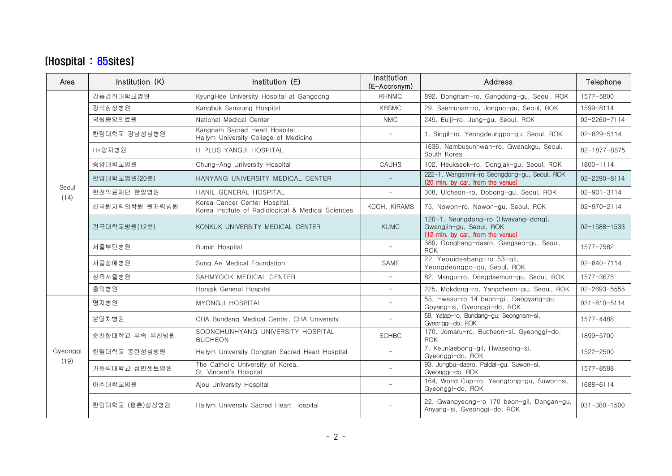## [Hospital : 85sites]

| Area             | Institution (K) | Institution (E)                                                                     | Institution<br>(E-Accronym) | <b>Address</b>                                                                                     | Telephone          |
|------------------|-----------------|-------------------------------------------------------------------------------------|-----------------------------|----------------------------------------------------------------------------------------------------|--------------------|
|                  | 강동경희대학교병원       | KyungHee University Hospital at Gangdong                                            | <b>KHNMC</b>                | 892, Dongnam-ro, Gangdong-gu, Seoul, ROK                                                           | 1577-5800          |
|                  | 강북삼성병원          | Kangbuk Samsung Hospital                                                            | <b>KBSMC</b>                | 29, Saemunan-ro, Jongno-gu, Seoul, ROK                                                             | 1599-8114          |
|                  | 국립중앙의료원         | National Medical Center                                                             | <b>NMC</b>                  | 245, Eulji-ro, Jung-gu, Seoul, ROK                                                                 | $02 - 2260 - 7114$ |
|                  | 한림대학교 강남성심병원    | Kangnam Sacred Heart Hospital,<br>Hallym University College of Medicine             | $\overline{\phantom{0}}$    | 1, Singil-ro, Yeongdeungpo-gu, Seoul, ROK                                                          | $02 - 829 - 5114$  |
|                  | H+양지병원          | H PLUS YANGJI HOSPITAL                                                              |                             | 1636. Nambusunhwan-ro. Gwanakgu. Seoul.<br>South Korea                                             | 82-1877-8875       |
|                  | 중앙대학교병원         | Chung-Ang University Hospital                                                       | <b>CAUHS</b>                | 102, Heukseok-ro, Dongjak-gu, Seoul, ROK                                                           | 1800-1114          |
| Seoul            | 한양대학교병원(20분)    | HANYANG UNIVERSITY MEDICAL CENTER                                                   |                             | 222-1, Wangsimni-ro Seongdong-gu, Seoul, ROK<br>(20 min. by car. from the venue)                   | $02 - 2290 - 8114$ |
| (14)             | 한전의료재단 한일병원     | HANIL GENERAL HOSPITAL                                                              | $\overline{\phantom{0}}$    | 308, Uicheon-ro, Dobong-gu, Seoul, ROK                                                             | $02 - 901 - 3114$  |
|                  | 한국원자력의학원 원자력병원  | Korea Cancer Center Hospital.<br>Korea Institute of Radiological & Medical Sciences | KCCH. KIRAMS                | 75, Nowon-ro, Nowon-gu, Seoul, ROK                                                                 | $02 - 970 - 2114$  |
|                  | 건국대학교병원(12분)    | KONKUK UNIVERSITY MEDICAL CENTER                                                    | <b>KUMC</b>                 | 120-1, Neungdong-ro (Hwayang-dong),<br>Gwangjin-gu, Seoul, ROK<br>(12 min. by car, from the venue) | $02 - 1588 - 1533$ |
|                  | 서울부민병원          | Bumin Hospital                                                                      |                             | 389, Gonghang-daero, Gangseo-gu, Seoul,<br><b>ROK</b>                                              | 1577-7582          |
|                  | 서울성애병원          | Sung Ae Medical Foundation                                                          | <b>SAMF</b>                 | 22, Yeouidaebang-ro 53-gil,<br>Yeongdeungpo-gu, Seoul, ROK                                         | $02 - 840 - 7114$  |
|                  | 삼육서울병원          | SAHMYOOK MEDICAL CENTER                                                             | $\overline{\phantom{a}}$    | 82, Mangu-ro, Dongdaemun-gu, Seoul, ROK                                                            | 1577-3675          |
|                  | 홍익병원            | Hongik General Hospital                                                             | $\overline{\phantom{0}}$    | 225, Mokdong-ro, Yangcheon-gu, Seoul, ROK                                                          | $02 - 2693 - 5555$ |
|                  | 명지병원            | MYONGJI HOSPITAL                                                                    |                             | 55, Hwasu-ro 14 beon-gil, Deogyang-gu,<br>Goyang-si, Gyeonggi-do, ROK                              | $031 - 810 - 5114$ |
|                  | 분당차병원           | CHA Bundang Medical Center, CHA University                                          | $\overline{\phantom{0}}$    | 59, Yatap-ro, Bundang-gu, Seongnam-si,<br>Gyeonggi-do, ROK                                         | 1577-4488          |
|                  | 순천향대학교 부속 부천병원  | SOONCHUNHYANG UNIVERSITY HOSPITAL<br><b>BUCHEON</b>                                 | <b>SCHBC</b>                | 170, Jomaru-ro, Bucheon-si, Gyeonggi-do,<br><b>ROK</b>                                             | 1899-5700          |
| Gyeonggi<br>(19) | 한림대학교 동탄성심병원    | Hallym University Dongtan Sacred Heart Hospital                                     | $\overline{\phantom{0}}$    | 7, Keunjaebong-gil, Hwaseong-si,<br>Gyeonggi-do, ROK                                               | 1522-2500          |
|                  | 가톨릭대학교 성빈센트병원   | The Catholic University of Korea,<br>St. Vincent's Hospital                         | $\overline{\phantom{0}}$    | 93, Jungbu-daero, Paldal-gu, Suwon-si,<br>Gyeonggi-do, ROK                                         | 1577-8588          |
|                  | 아주대학교병원         | Ajou University Hospital                                                            | $\overline{\phantom{0}}$    | 164, World Cup-ro, Yeongtong-gu, Suwon-si,<br>Gyeonggi-do, ROK                                     | 1688-6114          |
|                  | 한림대학교 (평촌)성심병원  | Hallym University Sacred Heart Hospital                                             |                             | 22, Gwanpyeong-ro 170 beon-gil, Dongan-gu,<br>Anyang-si, Gyeonggi-do, ROK                          | $031 - 380 - 1500$ |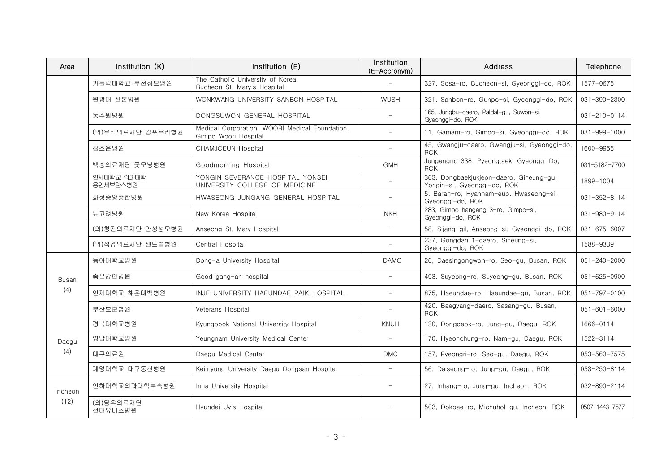| Area            | Institution (K)        | Institution (E)                                                        | Institution<br>(E-Accronym) | <b>Address</b>                                                         | Telephone          |
|-----------------|------------------------|------------------------------------------------------------------------|-----------------------------|------------------------------------------------------------------------|--------------------|
|                 | 가톨릭대학교 부천성모병원          | The Catholic University of Korea,<br>Bucheon St. Mary's Hospital       |                             | 327, Sosa-ro, Bucheon-si, Gyeonggi-do, ROK                             | 1577-0675          |
|                 | 원광대 산본병원               | WONKWANG UNIVERSITY SANBON HOSPITAL                                    | <b>WUSH</b>                 | 321, Sanbon-ro, Gunpo-si, Gyeonggi-do, ROK                             | 031-390-2300       |
|                 | 동수원병원                  | DONGSUWON GENERAL HOSPITAL                                             | $\overline{\phantom{0}}$    | 165, Jungbu-daero, Paldal-gu, Suwon-si,<br>Gyeonggi-do, ROK            | $031 - 210 - 0114$ |
|                 | (의)우리의료재단 김포우리병원       | Medical Corporation. WOORI Medical Foundation.<br>Gimpo Woori Hospital | $\overline{\phantom{0}}$    | 11, Gamam-ro, Gimpo-si, Gyeonggi-do, ROK                               | 031-999-1000       |
|                 | 참조은병원                  | CHAMJOEUN Hospital                                                     |                             | 45, Gwangju-daero, Gwangju-si, Gyeonggi-do,<br><b>ROK</b>              | 1600-9955          |
|                 | 백송의료재단 굿모닝병원           | Goodmorning Hospital                                                   | <b>GMH</b>                  | Jungangno 338, Pyeongtaek, Gyeonggi Do,<br><b>ROK</b>                  | 031-5182-7700      |
|                 | 연세대학교 의과대학<br>용인세브란스병원 | YONGIN SEVERANCE HOSPITAL YONSEI<br>UNIVERSITY COLLEGE OF MEDICINE     |                             | 363, Dongbaekjukjeon-daero, Giheung-gu,<br>Yongin-si, Gyeonggi-do, ROK | 1899-1004          |
|                 | 화성중앙종합병원               | HWASEONG JUNGANG GENERAL HOSPITAL                                      |                             | 5, Baran-ro, Hyannam-eup, Hwaseong-si,<br>Gyeonggi-do, ROK             | 031-352-8114       |
|                 | 뉴고려병원                  | New Korea Hospital                                                     | <b>NKH</b>                  | 283, Gimpo hangang 3-ro, Gimpo-si,<br>Gyeonggi-do, ROK                 | 031-980-9114       |
|                 | (의)청전의료재단 안성성모병원       | Anseong St. Mary Hospital                                              |                             | 58, Sijang-gil, Anseong-si, Gyeonggi-do, ROK                           | $031 - 675 - 6007$ |
|                 | (의)석경의료재단 센트럴병원        | Central Hospital                                                       |                             | 237, Gongdan 1-daero, Siheung-si,<br>Gyeonggi-do, ROK                  | 1588-9339          |
|                 | 동아대학교병원                | Dong-a University Hospital                                             | <b>DAMC</b>                 | 26. Daesingongwon-ro. Seo-gu. Busan. ROK                               | $051 - 240 - 2000$ |
| Busan           | 좋은강안병원                 | Good gang-an hospital                                                  | $\overline{\phantom{0}}$    | 493, Suyeong-ro, Suyeong-gu, Busan, ROK                                | 051-625-0900       |
| (4)             | 인제대학교 해운대백병원           | INJE UNIVERSITY HAEUNDAE PAIK HOSPITAL                                 | $\overline{\phantom{m}}$    | 875, Haeundae-ro, Haeundae-gu, Busan, ROK                              | $051 - 797 - 0100$ |
|                 | 부산보훈병원                 | Veterans Hospital                                                      | $\overline{\phantom{m}}$    | 420, Baegyang-daero, Sasang-gu, Busan,<br><b>ROK</b>                   | $051 - 601 - 6000$ |
|                 | 경북대학교병원                | Kyungpook National University Hospital                                 | <b>KNUH</b>                 | 130. Donadeok-ro. Juna-au. Daeau. ROK                                  | 1666-0114          |
| Daegu           | 영남대학교병원                | Yeungnam University Medical Center                                     | $\overline{\phantom{a}}$    | 170. Hyeonchung-ro. Nam-gu. Daegu. ROK                                 | 1522-3114          |
| (4)             | 대구의료원                  | Daegu Medical Center                                                   | <b>DMC</b>                  | 157, Pyeongri-ro, Seo-gu, Daegu, ROK                                   | 053-560-7575       |
|                 | 계명대학교 대구동산병원           | Keimyung University Daegu Dongsan Hospital                             | $\equiv$                    | 56, Dalseong-ro, Jung-gu, Daegu, ROK                                   | 053-250-8114       |
| Incheon<br>(12) | 인하대학교의과대학부속병원          | Inha University Hospital                                               |                             | 27, Inhang-ro, Jung-gu, Incheon, ROK                                   | 032-890-2114       |
|                 | (의)담우의료재단<br>현대유비스병원   | Hvundai Uvis Hospital                                                  |                             | 503. Dokbae-ro. Michuhol-gu. Incheon. ROK                              | 0507-1443-7577     |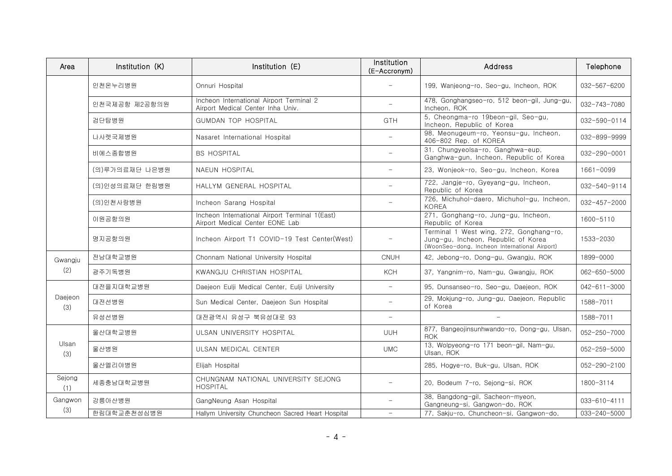| Area           | Institution (K) | Institution (E)                                                                   | Institution<br>(E-Accronym) | <b>Address</b>                                                                                                                  | Telephone          |
|----------------|-----------------|-----------------------------------------------------------------------------------|-----------------------------|---------------------------------------------------------------------------------------------------------------------------------|--------------------|
|                | 인천온누리병원         | Onnuri Hospital                                                                   |                             | 199, Wanjeong-ro, Seo-gu, Incheon, ROK                                                                                          | 032-567-6200       |
|                | 인천국제공항 제2공항의원   | Incheon International Airport Terminal 2<br>Airport Medical Center Inha Univ.     |                             | 478, Gonghangseo-ro, 512 beon-gil, Jung-gu,<br>Incheon, ROK                                                                     | 032-743-7080       |
|                | 검단탑병원           | GUMDAN TOP HOSPITAL                                                               | <b>GTH</b>                  | 5, Cheongma-ro 19beon-gil, Seo-gu,<br>Incheon, Republic of Korea                                                                | 032-590-0114       |
|                | 나사렛국제병원         | Nasaret International Hospital                                                    | $\overline{\phantom{0}}$    | 98, Meonugeum-ro, Yeonsu-gu, Incheon,<br>406-802 Rep. of KOREA                                                                  | 032-899-9999       |
|                | 비에스종합병원         | <b>BS HOSPITAL</b>                                                                |                             | 31. Chungyeolsa-ro, Ganghwa-eup,<br>Ganghwa-gun, Incheon, Republic of Korea                                                     | $032 - 290 - 0001$ |
|                | (의)루가의료재단 나은병원  | NAEUN HOSPITAL                                                                    | $\overline{\phantom{0}}$    | 23, Wonjeok-ro, Seo-gu, Incheon, Korea                                                                                          | 1661-0099          |
|                | (의)인성의료재단 한림병원  | HALLYM GENERAL HOSPITAL                                                           | $\overline{\phantom{0}}$    | 722, Jangje-ro, Gyeyang-gu, Incheon,<br>Republic of Korea                                                                       | 032-540-9114       |
|                | (의)인천사랑병원       | Incheon Sarang Hospital                                                           | -                           | 726, Michuhol-daero, Michuhol-gu, Incheon,<br><b>KOREA</b>                                                                      | 032-457-2000       |
|                | 이원공항의원          | Incheon International Airport Terminal 1(East)<br>Airport Medical Center EONE Lab |                             | 271, Gonghang-ro, Jung-gu, Incheon,<br>Republic of Korea                                                                        | 1600-5110          |
|                | 명지공항의원          | Incheon Airport T1 COVID-19 Test Center(West)                                     |                             | Terminal 1 West wing, 272, Gonghang-ro,<br>Jung-gu, Incheon, Republic of Korea<br>(WoonSeo-dong, Incheon International Airport) | 1533-2030          |
| Gwangju        | 전남대학교병원         | Chonnam National University Hospital                                              | <b>CNUH</b>                 | 42, Jebong-ro, Dong-gu, Gwangju, ROK                                                                                            | 1899-0000          |
| (2)            | 광주기독병원          | KWANGJU CHRISTIAN HOSPITAL                                                        | <b>KCH</b>                  | 37, Yangnim-ro, Nam-gu, Gwangju, ROK                                                                                            | 062-650-5000       |
|                | 대전을지대학교병원       | Daejeon Eulji Medical Center, Eulji University                                    | $\overline{\phantom{0}}$    | 95, Dunsanseo-ro, Seo-gu, Daejeon, ROK                                                                                          | $042 - 611 - 3000$ |
| Daejeon<br>(3) | 대전선병원           | Sun Medical Center, Daejeon Sun Hospital                                          | $\overline{\phantom{0}}$    | 29, Mokjung-ro, Jung-gu, Daejeon, Republic<br>of Korea                                                                          | 1588-7011          |
|                | 유성선병원           | 대전광역시 유성구 북유성대로 93                                                                | $\overline{\phantom{m}}$    |                                                                                                                                 | 1588-7011          |
|                | 울산대학교병원         | ULSAN UNIVERSITY HOSPITAL                                                         | UUH                         | 877, Bangeojinsunhwando-ro, Dong-gu, Ulsan,<br><b>ROK</b>                                                                       | 052-250-7000       |
| Ulsan<br>(3)   | 울산병원            | ULSAN MEDICAL CENTER                                                              | <b>UMC</b>                  | 13, Wolpyeong-ro 171 beon-gil, Nam-gu,<br>Ulsan, ROK                                                                            | 052-259-5000       |
|                | 울산엘리야병원         | Elijah Hospital                                                                   |                             | 285, Hogye-ro, Buk-gu, Ulsan, ROK                                                                                               | 052-290-2100       |
| Sejong<br>(1)  | 세종충남대학교병원       | CHUNGNAM NATIONAL UNIVERSITY SEJONG<br><b>HOSPITAL</b>                            |                             | 20, Bodeum 7-ro, Sejong-si, ROK                                                                                                 | 1800-3114          |
| Gangwon        | 강릉아산병원          | GangNeung Asan Hospital                                                           |                             | 38, Bangdong-gil, Sacheon-myeon,<br>Gangneung-si, Gangwon-do, ROK                                                               | $033 - 610 - 4111$ |
| (3)            | 한림대학교춘천성심병원     | Hallym University Chuncheon Sacred Heart Hospital                                 |                             | 77. Sakiu-ro. Chuncheon-si. Ganawon-do.                                                                                         | $033 - 240 - 5000$ |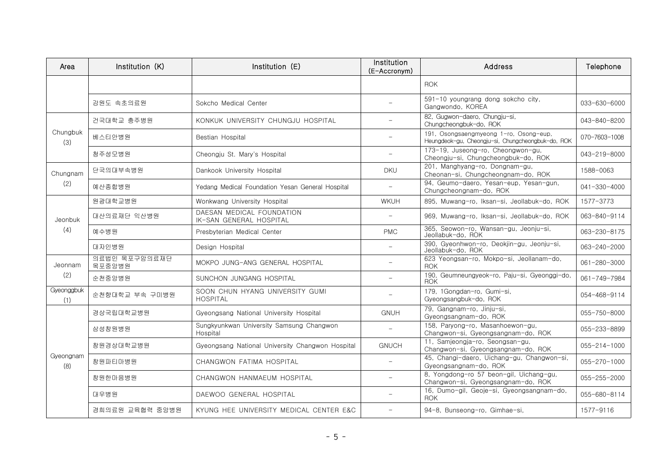| Area              | Institution (K)         | Institution (E)                                      | Institution<br>(E-Accronym) | Address                                                                                     | Telephone          |
|-------------------|-------------------------|------------------------------------------------------|-----------------------------|---------------------------------------------------------------------------------------------|--------------------|
|                   |                         |                                                      |                             | <b>ROK</b>                                                                                  |                    |
|                   | 강원도 속초의료원               | Sokcho Medical Center                                |                             | 591-10 youngrang dong sokcho city,<br>Gangwondo, KOREA                                      | 033-630-6000       |
|                   | 건국대학교 충주병원              | KONKUK UNIVERSITY CHUNGJU HOSPITAL                   |                             | 82, Gugwon-daero, Chungju-si,<br>Chungcheongbuk-do, ROK                                     | 043-840-8200       |
| Chungbuk<br>(3)   | 베스티안병원                  | Bestian Hospital                                     | $\overline{\phantom{0}}$    | 191, Osongsaengmyeong 1-ro, Osong-eup,<br>Heungdeok-gu, Cheongju-si, Chungcheongbuk-do, ROK | 070-7603-1008      |
|                   | 청주성모병원                  | Cheongju St. Mary's Hospital                         | $\overline{\phantom{m}}$    | 173-19, Juseong-ro, Cheongwon-gu,<br>Cheongju-si, Chungcheongbuk-do, ROK                    | 043-219-8000       |
| Chungnam          | 단국의대부속병원                | Dankook University Hospital                          | <b>DKU</b>                  | 201, Manghyang-ro, Dongnam-gu,<br>Cheonan-si, Chungcheongnam-do, ROK                        | 1588-0063          |
| (2)               | 예산종합병원                  | Yedang Medical Foundation Yesan General Hospital     |                             | 94, Geumo-daero, Yesan-eup, Yesan-gun,<br>Chungcheongnam-do, ROK                            | $041 - 330 - 4000$ |
|                   | 원광대학교병원                 | Wonkwang University Hospital                         | <b>WKUH</b>                 | 895, Muwang-ro, Iksan-si, Jeollabuk-do, ROK                                                 | 1577-3773          |
| Jeonbuk           | 대산의료재단 익산병원             | DAESAN MEDICAL FOUNDATION<br>IK-SAN GENERAL HOSPITAL |                             | 969, Muwang-ro, Iksan-si, Jeollabuk-do, ROK                                                 | 063-840-9114       |
| (4)               | 예수병원                    | Presbyterian Medical Center                          | <b>PMC</b>                  | 365, Seowon-ro, Wansan-gu, Jeonju-si,<br>Jeollabuk-do, ROK                                  | 063-230-8175       |
|                   | 대자인병원                   | Design Hospital                                      | $\overline{\phantom{0}}$    | 390, Gyeonhwon-ro, Deokjin-gu, Jeonju-si,<br>Jeollabuk-do, ROK                              | 063-240-2000       |
| Jeonnam           | 의료법인 목포구암의료재단<br>목포중앙병원 | MOKPO JUNG-ANG GENERAL HOSPITAL                      | $\overline{\phantom{0}}$    | 623 Yeongsan-ro, Mokpo-si, Jeollanam-do,<br><b>ROK</b>                                      | 061-280-3000       |
| (2)               | 순천중앙병원                  | SUNCHON JUNGANG HOSPITAL                             | $\overline{\phantom{0}}$    | 190, Geumneungyeok-ro, Paju-si, Gyeonggi-do,<br><b>ROK</b>                                  | 061-749-7984       |
| Gyeonggbuk<br>(1) | 순천향대학교 부속 구미병원          | SOON CHUN HYANG UNIVERSITY GUMI<br><b>HOSPITAL</b>   |                             | 179, 1Gongdan-ro, Gumi-si,<br>Gyeongsangbuk-do, ROK                                         | 054-468-9114       |
|                   | 경상국립대학교병원               | Gyeongsang National University Hospital              | <b>GNUH</b>                 | 79, Gangnam-ro, Jinju-si,<br>Gyeongsangnam-do, ROK                                          | 055-750-8000       |
|                   | 삼성창원병원                  | Sungkyunkwan University Samsung Changwon<br>Hospital | $\overline{\phantom{0}}$    | 158, Paryong-ro, Masanhoewon-gu,<br>Changwon-si, Gyeongsangnam-do, ROK                      | 055-233-8899       |
| Gyeongnam<br>(8)  | 창원경상대학교병원               | Gyeongsang National University Changwon Hospital     | <b>GNUCH</b>                | 11, Samjeongja-ro, Seongsan-gu,<br>Changwon-si, Gyeongsangnam-do, ROK                       | $055 - 214 - 1000$ |
|                   | 창원파티마병원                 | CHANGWON FATIMA HOSPITAL                             | $\overline{\phantom{0}}$    | 45, Changi-daero, Uichang-gu, Changwon-si,<br>Gyeongsangnam-do, ROK                         | 055-270-1000       |
|                   | 창원한마음병원                 | CHANGWON HANMAEUM HOSPITAL                           | $\overline{\phantom{0}}$    | 8, Yongdong-ro 57 beon-gil, Uichang-gu,<br>Changwon-si, Gyeongsangnam-do, ROK               | 055-255-2000       |
|                   | 대우병원                    | DAEWOO GENERAL HOSPITAL                              | $\sim$                      | 16, Dumo-gil, Geoje-si, Gyeongsangnam-do,<br><b>ROK</b>                                     | 055-680-8114       |
|                   | 경희의료원 교육협력 중앙병원         | KYUNG HEE UNIVERSITY MEDICAL CENTER E&C              | $\overline{\phantom{0}}$    | 94-8. Bunseong-ro. Gimhae-si.                                                               | 1577-9116          |